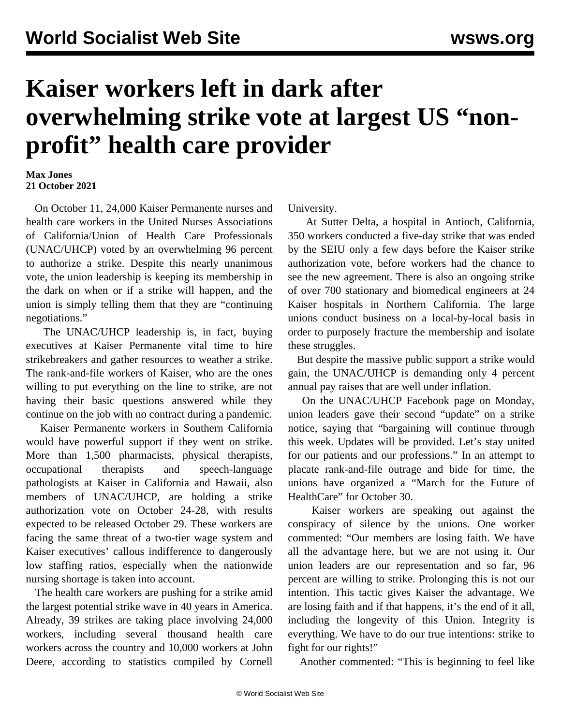## **Kaiser workers left in dark after overwhelming strike vote at largest US "nonprofit" health care provider**

## **Max Jones 21 October 2021**

 On October 11, 24,000 Kaiser Permanente nurses and health care workers in the United Nurses Associations of California/Union of Health Care Professionals (UNAC/UHCP) voted by an overwhelming 96 percent to authorize a strike. Despite this nearly unanimous vote, the union leadership is keeping its membership in the dark on when or if a strike will happen, and the union is simply telling them that they are "continuing negotiations."

 The UNAC/UHCP leadership is, in fact, buying executives at Kaiser Permanente vital time to hire strikebreakers and gather resources to weather a strike. The rank-and-file workers of Kaiser, who are the ones willing to put everything on the line to strike, are not having their basic questions answered while they continue on the job with no contract during a pandemic.

 Kaiser Permanente workers in Southern California would have powerful support if they went on strike. More than 1,500 pharmacists, physical therapists, occupational therapists and speech-language pathologists at Kaiser in California and Hawaii, also members of UNAC/UHCP, are holding a strike authorization vote on October 24-28, with results expected to be released October 29. These workers are facing the same threat of a two-tier wage system and Kaiser executives' callous indifference to dangerously low staffing ratios, especially when the nationwide nursing shortage is taken into account.

 The health care workers are pushing for a strike amid the largest potential strike wave in 40 years in America. Already, 39 strikes are taking place involving 24,000 workers, including several thousand health care workers across the country and 10,000 workers at John Deere, according to statistics compiled by Cornell University.

 At [Sutter Delta](/en/articles/2021/10/05/sutt-o05.html), a hospital in Antioch, California, 350 workers conducted a five-day strike that was ended by the SEIU only a few days before the Kaiser strike authorization vote, before workers had the chance to see the new agreement. There is also an ongoing strike of over 700 stationary and biomedical engineers at [24](/en/articles/2021/10/12/kais-o12.html) [Kaiser hospitals in Northern California.](/en/articles/2021/10/12/kais-o12.html) The large unions conduct business on a local-by-local basis in order to purposely fracture the membership and isolate these struggles.

 But despite the massive public support a strike would gain, the UNAC/UHCP is demanding only 4 percent annual pay raises that are well under inflation.

 On the UNAC/UHCP Facebook page on Monday, union leaders gave their second "update" on a strike notice, saying that "bargaining will continue through this week. Updates will be provided. Let's stay united for our patients and our professions." In an attempt to placate rank-and-file outrage and bide for time, the unions have organized a "March for the Future of HealthCare" for October 30.

 Kaiser workers are speaking out against the conspiracy of silence by the unions. One worker commented: "Our members are losing faith. We have all the advantage here, but we are not using it. Our union leaders are our representation and so far, 96 percent are willing to strike. Prolonging this is not our intention. This tactic gives Kaiser the advantage. We are losing faith and if that happens, it's the end of it all, including the longevity of this Union. Integrity is everything. We have to do our true intentions: strike to fight for our rights!"

Another commented: "This is beginning to feel like